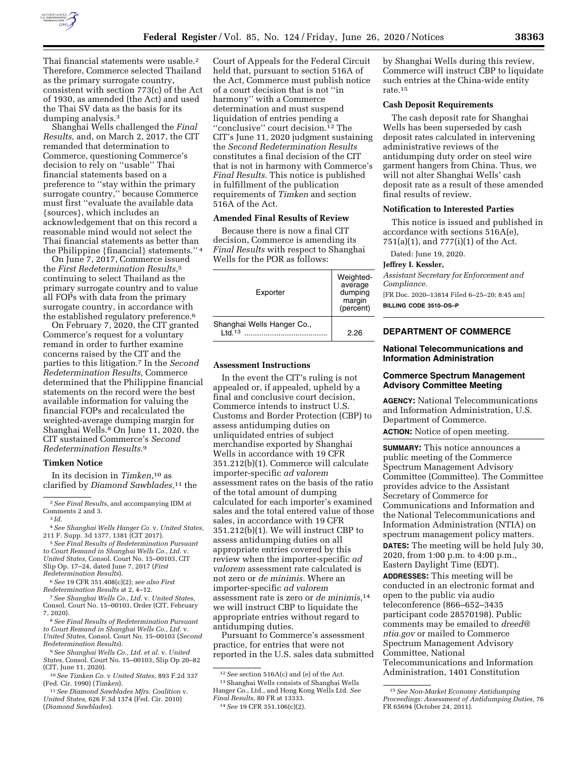

Thai financial statements were usable.<sup>2</sup> Therefore, Commerce selected Thailand as the primary surrogate country, consistent with section 773(c) of the Act of 1930, as amended (the Act) and used the Thai SV data as the basis for its dumping analysis.3

Shanghai Wells challenged the *Final Results,* and, on March 2, 2017, the CIT remanded that determination to Commerce, questioning Commerce's decision to rely on ''usable'' Thai financial statements based on a preference to ''stay within the primary surrogate country,'' because Commerce must first ''evaluate the available data {sources}, which includes an acknowledgement that on this record a reasonable mind would not select the Thai financial statements as better than the Philippine {financial} statements.'' 4

On June 7, 2017, Commerce issued the *First Redetermination Results,*5 continuing to select Thailand as the primary surrogate country and to value all FOPs with data from the primary surrogate country, in accordance with the established regulatory preference.6

On February 7, 2020, the CIT granted Commerce's request for a voluntary remand in order to further examine concerns raised by the CIT and the parties to this litigation.7 In the *Second Redetermination Results,* Commerce determined that the Philippine financial statements on the record were the best available information for valuing the financial FOPs and recalculated the weighted-average dumping margin for Shanghai Wells.8 On June 11, 2020, the CIT sustained Commerce's *Second Redetermination Results.*9

### **Timken Notice**

In its decision in *Timken,*10 as clarified by *Diamond Sawblades,*11 the

<sup>5</sup> See Final Results of Redetermination Pursuant *to Court Remand in Shanghai Wells Co., Ltd.* v. *United States,* Consol. Court No. 15–00103, CIT Slip Op. 17–24, dated June 7, 2017 (*First* 

*Redetermination Results*). 6*See* 19 CFR 351.408(c)(2); *see also First* 

*Redetermination Results* at 2, 4–12. 7*See Shanghai Wells Co., Ltd.* v. *United States,*  Consol. Court No. 15–00103, Order (CIT, February

7, 2020). 8*See Final Results of Redetermination Pursuant to Court Remand in Shanghai Wells Co., Ltd.* v. *United States,* Consol. Court No. 15–00103 (*Second* 

*Redetermination Results*). 9*See Shanghai Wells Co., Ltd. et al.* v. *United States,* Consol. Court No. 15–00103, Slip Op 20–82

(Fed. Cir. 1990) (*Timken*). 11*See Diamond Sawblades Mfrs. Coalition* v. *United States,* 626 F.3d 1374 (Fed. Cir. 2010) (*Diamond Sawblades*).

Court of Appeals for the Federal Circuit held that, pursuant to section 516A of the Act, Commerce must publish notice of a court decision that is not ''in harmony'' with a Commerce determination and must suspend liquidation of entries pending a ''conclusive'' court decision.12 The CIT's June 11, 2020 judgment sustaining the *Second Redetermination Results*  constitutes a final decision of the CIT that is not in harmony with Commerce's *Final Results.* This notice is published in fulfillment of the publication requirements of *Timken* and section 516A of the Act.

## **Amended Final Results of Review**

Because there is now a final CIT decision, Commerce is amending its *Final Results* with respect to Shanghai Wells for the POR as follows:

| Exporter                                | Weighted-<br>average<br>dumping<br>margin<br>(percent) |
|-----------------------------------------|--------------------------------------------------------|
| Shanghai Wells Hanger Co.,<br>$1$ td 13 | 2.26                                                   |

#### **Assessment Instructions**

In the event the CIT's ruling is not appealed or, if appealed, upheld by a final and conclusive court decision, Commerce intends to instruct U.S. Customs and Border Protection (CBP) to assess antidumping duties on unliquidated entries of subject merchandise exported by Shanghai Wells in accordance with 19 CFR 351.212(b)(1). Commerce will calculate importer-specific *ad valorem*  assessment rates on the basis of the ratio of the total amount of dumping calculated for each importer's examined sales and the total entered value of those sales, in accordance with 19 CFR 351.212(b)(1). We will instruct CBP to assess antidumping duties on all appropriate entries covered by this review when the importer-specific *ad valorem* assessment rate calculated is not zero or *de minimis.* Where an importer-specific *ad valorem*  assessment rate is zero or *de minimis,*14 we will instruct CBP to liquidate the appropriate entries without regard to antidumping duties.

Pursuant to Commerce's assessment practice, for entries that were not reported in the U.S. sales data submitted by Shanghai Wells during this review, Commerce will instruct CBP to liquidate such entries at the China-wide entity rate.15

# **Cash Deposit Requirements**

The cash deposit rate for Shanghai Wells has been superseded by cash deposit rates calculated in intervening administrative reviews of the antidumping duty order on steel wire garment hangers from China. Thus, we will not alter Shanghai Wells' cash deposit rate as a result of these amended final results of review.

#### **Notification to Interested Parties**

This notice is issued and published in accordance with sections 516A(e), 751(a)(1), and 777(i)(1) of the Act.

Dated: June 19, 2020.

#### **Jeffrey I. Kessler,**

*Assistant Secretary for Enforcement and Compliance.*  [FR Doc. 2020–13814 Filed 6–25–20; 8:45 am]

**BILLING CODE 3510–DS–P** 

# **DEPARTMENT OF COMMERCE**

## **National Telecommunications and Information Administration**

### **Commerce Spectrum Management Advisory Committee Meeting**

**AGENCY:** National Telecommunications and Information Administration, U.S. Department of Commerce. **ACTION:** Notice of open meeting.

**SUMMARY:** This notice announces a public meeting of the Commerce Spectrum Management Advisory Committee (Committee). The Committee provides advice to the Assistant Secretary of Commerce for Communications and Information and the National Telecommunications and Information Administration (NTIA) on spectrum management policy matters.

**DATES:** The meeting will be held July 30, 2020, from 1:00 p.m. to 4:00 p.m., Eastern Daylight Time (EDT).

**ADDRESSES:** This meeting will be conducted in an electronic format and open to the public via audio teleconference (866–652–3435 participant code 28570198). Public comments may be emailed to *[dreed@](mailto:dreed@ntia.gov) [ntia.gov](mailto:dreed@ntia.gov)* or mailed to Commerce Spectrum Management Advisory Committee, National Telecommunications and Information Administration, 1401 Constitution

<sup>2</sup>*See Final Results,* and accompanying IDM at Comments 2 and 3. 3 *Id.* 

<sup>4</sup>*See Shanghai Wells Hanger Co.* v. *United States,* 

<sup>(</sup>CIT, June 11, 2020). 10*See Timken Co.* v *United States,* 893 F.2d 337

<sup>12</sup>*See* section 516A(c) and (e) of the Act. 13Shanghai Wells consists of Shanghai Wells

Hanger Co., Ltd., and Hong Kong Wells Ltd. *See Final Results,* 80 FR at 13333. 14*See* 19 CFR 351.106(c)(2).

<sup>15</sup>*See Non-Market Economy Antidumping Proceedings: Assessment of Antidumping Duties,* 76 FR 65694 (October 24, 2011).